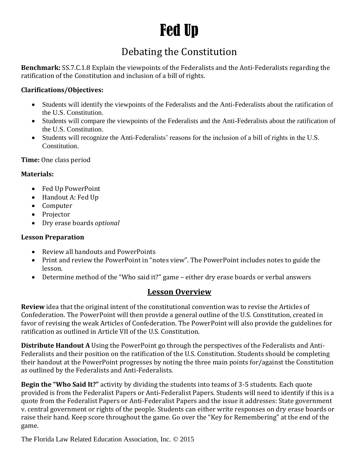# Fed Up

### Debating the Constitution

**Benchmark:** SS.7.C.1.8 Explain the viewpoints of the Federalists and the Anti-Federalists regarding the ratification of the Constitution and inclusion of a bill of rights.

#### **Clarifications/Objectives:**

- Students will identify the viewpoints of the Federalists and the Anti-Federalists about the ratification of the U.S. Constitution.
- Students will compare the viewpoints of the Federalists and the Anti-Federalists about the ratification of the U.S. Constitution.
- Students will recognize the Anti-Federalists' reasons for the inclusion of a bill of rights in the U.S. Constitution.

**Time:** One class period

#### **Materials:**

- Fed Up PowerPoint
- Handout A: Fed Up
- Computer
- Projector
- Dry erase boards *optional*

#### **Lesson Preparation**

- Review all handouts and PowerPoints
- Print and review the PowerPoint in "notes view". The PowerPoint includes notes to guide the lesson.
- Determine method of the "Who said it?" game either dry erase boards or verbal answers

#### **Lesson Overview**

**Review** idea that the original intent of the constitutional convention was to revise the Articles of Confederation. The PowerPoint will then provide a general outline of the U.S. Constitution, created in favor of revising the weak Articles of Confederation. The PowerPoint will also provide the guidelines for ratification as outlined in Article VII of the U.S. Constitution.

**Distribute Handout A** Using the PowerPoint go through the perspectives of the Federalists and Anti-Federalists and their position on the ratification of the U.S. Constitution. Students should be completing their handout at the PowerPoint progresses by noting the three main points for/against the Constitution as outlined by the Federalists and Anti-Federalists.

**Begin the "Who Said It?"** activity by dividing the students into teams of 3-5 students. Each quote provided is from the Federalist Papers or Anti-Federalist Papers. Students will need to identify if this is a quote from the Federalist Papers or Anti-Federalist Papers and the issue it addresses: State government v. central government or rights of the people. Students can either write responses on dry erase boards or raise their hand. Keep score throughout the game. Go over the "Key for Remembering" at the end of the game.

The Florida Law Related Education Association, Inc. © 2015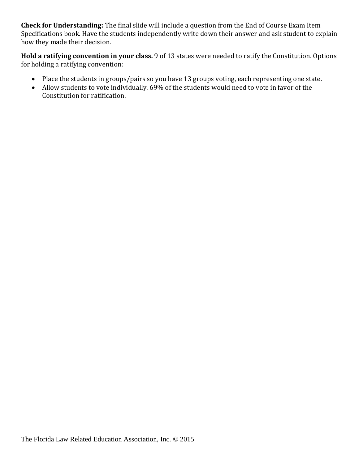**Check for Understanding:** The final slide will include a question from the End of Course Exam Item Specifications book. Have the students independently write down their answer and ask student to explain how they made their decision.

**Hold a ratifying convention in your class.** 9 of 13 states were needed to ratify the Constitution. Options for holding a ratifying convention:

- Place the students in groups/pairs so you have 13 groups voting, each representing one state.
- Allow students to vote individually. 69% of the students would need to vote in favor of the Constitution for ratification.